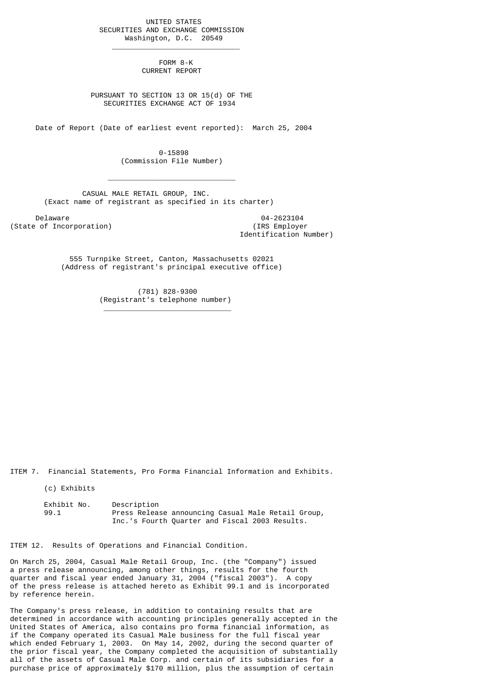UNITED STATES SECURITIES AND EXCHANGE COMMISSION Washington, D.C. 20549

 $\frac{1}{2}$  , and the set of the set of the set of the set of the set of the set of the set of the set of the set of the set of the set of the set of the set of the set of the set of the set of the set of the set of the set

 $\mathcal{L}_\text{max}$  and  $\mathcal{L}_\text{max}$  and  $\mathcal{L}_\text{max}$  and  $\mathcal{L}_\text{max}$  and  $\mathcal{L}_\text{max}$ 

\_\_\_\_\_\_\_\_\_\_\_\_\_\_\_\_\_\_\_\_\_\_\_\_\_\_\_\_\_\_

 FORM 8-K CURRENT REPORT

 PURSUANT TO SECTION 13 OR 15(d) OF THE SECURITIES EXCHANGE ACT OF 1934

Date of Report (Date of earliest event reported): March 25, 2004

 0-15898 (Commission File Number)

 CASUAL MALE RETAIL GROUP, INC. (Exact name of registrant as specified in its charter)

Delaware 04-2623104<br>
Delaware 04-2623104<br>
Of Incorporation (State of Incorporation)

Identification Number)

 555 Turnpike Street, Canton, Massachusetts 02021 (Address of registrant's principal executive office)

> (781) 828-9300 (Registrant's telephone number)

ITEM 7. Financial Statements, Pro Forma Financial Information and Exhibits.

(c) Exhibits

Exhibit No. Description<br>99.1 Press Relea Press Release announcing Casual Male Retail Group, Inc.'s Fourth Quarter and Fiscal 2003 Results.

ITEM 12. Results of Operations and Financial Condition.

On March 25, 2004, Casual Male Retail Group, Inc. (the "Company") issued a press release announcing, among other things, results for the fourth quarter and fiscal year ended January 31, 2004 ("fiscal 2003"). A copy of the press release is attached hereto as Exhibit 99.1 and is incorporated by reference herein.

The Company's press release, in addition to containing results that are determined in accordance with accounting principles generally accepted in the United States of America, also contains pro forma financial information, as if the Company operated its Casual Male business for the full fiscal year which ended February 1, 2003. On May 14, 2002, during the second quarter of the prior fiscal year, the Company completed the acquisition of substantially all of the assets of Casual Male Corp. and certain of its subsidiaries for a purchase price of approximately \$170 million, plus the assumption of certain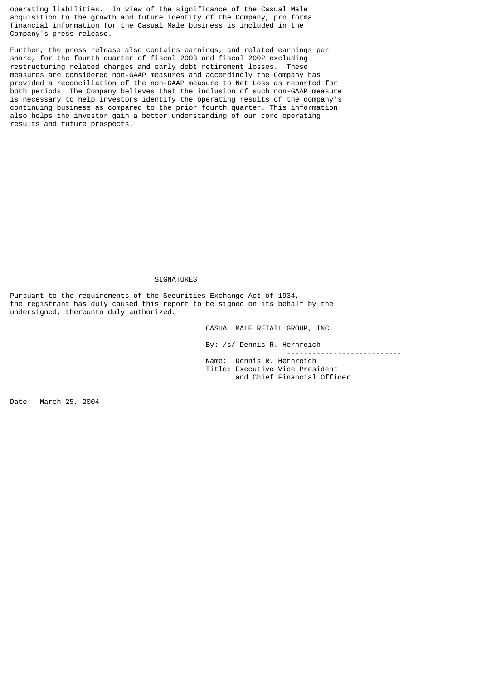operating liabilities. In view of the significance of the Casual Male acquisition to the growth and future identity of the Company, pro forma financial information for the Casual Male business is included in the Company's press release.

Further, the press release also contains earnings, and related earnings per share, for the fourth quarter of fiscal 2003 and fiscal 2002 excluding restructuring related charges and early debt retirement losses. These measures are considered non-GAAP measures and accordingly the Company has provided a reconciliation of the non-GAAP measure to Net Loss as reported for both periods. The Company believes that the inclusion of such non-GAAP measure is necessary to help investors identify the operating results of the company's continuing business as compared to the prior fourth quarter. This information also helps the investor gain a better understanding of our core operating results and future prospects.

## SIGNATURES

Pursuant to the requirements of the Securities Exchange Act of 1934, the registrant has duly caused this report to be signed on its behalf by the undersigned, thereunto duly authorized.

CASUAL MALE RETAIL GROUP, INC.

By: /s/ Dennis R. Hernreich

 Name: Dennis R. Hernreich Title: Executive Vice President and Chief Financial Officer

---------------------------

Date: March 25, 2004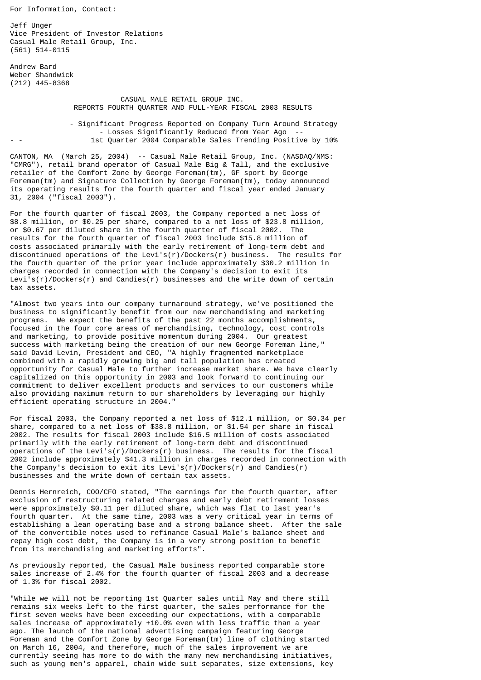For Information, Contact:

Jeff Unger Vice President of Investor Relations Casual Male Retail Group, Inc. (561) 514-0115

Andrew Bard Weber Shandwick (212) 445-8368

> CASUAL MALE RETAIL GROUP INC. REPORTS FOURTH QUARTER AND FULL-YEAR FISCAL 2003 RESULTS

 - Significant Progress Reported on Company Turn Around Strategy - Losses Significantly Reduced from Year Ago 1st Quarter 2004 Comparable Sales Trending Positive by 10%

CANTON, MA (March 25, 2004) -- Casual Male Retail Group, Inc. (NASDAQ/NMS: "CMRG"), retail brand operator of Casual Male Big & Tall, and the exclusive retailer of the Comfort Zone by George Foreman(tm), GF sport by George Foreman(tm) and Signature Collection by George Foreman(tm), today announced its operating results for the fourth quarter and fiscal year ended January 31, 2004 ("fiscal 2003").

For the fourth quarter of fiscal 2003, the Company reported a net loss of \$8.8 million, or \$0.25 per share, compared to a net loss of \$23.8 million, or \$0.67 per diluted share in the fourth quarter of fiscal 2002. The results for the fourth quarter of fiscal 2003 include \$15.8 million of costs associated primarily with the early retirement of long-term debt and discontinued operations of the Levi's(r)/Dockers(r) business. The results for the fourth quarter of the prior year include approximately \$30.2 million in charges recorded in connection with the Company's decision to exit its Levi's(r)/Dockers(r) and Candies(r) businesses and the write down of certain tax assets.

"Almost two years into our company turnaround strategy, we've positioned the business to significantly benefit from our new merchandising and marketing programs. We expect the benefits of the past 22 months accomplishments, focused in the four core areas of merchandising, technology, cost controls and marketing, to provide positive momentum during 2004. Our greatest success with marketing being the creation of our new George Foreman line," said David Levin, President and CEO, "A highly fragmented marketplace combined with a rapidly growing big and tall population has created opportunity for Casual Male to further increase market share. We have clearly capitalized on this opportunity in 2003 and look forward to continuing our commitment to deliver excellent products and services to our customers while also providing maximum return to our shareholders by leveraging our highly efficient operating structure in 2004."

For fiscal 2003, the Company reported a net loss of \$12.1 million, or \$0.34 per share, compared to a net loss of \$38.8 million, or \$1.54 per share in fiscal 2002. The results for fiscal 2003 include \$16.5 million of costs associated primarily with the early retirement of long-term debt and discontinued operations of the Levi's(r)/Dockers(r) business. The results for the fiscal 2002 include approximately \$41.3 million in charges recorded in connection with the Company's decision to exit its Levi's(r)/Dockers(r) and Candies(r) businesses and the write down of certain tax assets.

Dennis Hernreich, COO/CFO stated, "The earnings for the fourth quarter, after exclusion of restructuring related charges and early debt retirement losses were approximately \$0.11 per diluted share, which was flat to last year's fourth quarter. At the same time, 2003 was a very critical year in terms of establishing a lean operating base and a strong balance sheet. After the sale of the convertible notes used to refinance Casual Male's balance sheet and repay high cost debt, the Company is in a very strong position to benefit from its merchandising and marketing efforts".

As previously reported, the Casual Male business reported comparable store sales increase of 2.4% for the fourth quarter of fiscal 2003 and a decrease of 1.3% for fiscal 2002.

"While we will not be reporting 1st Quarter sales until May and there still remains six weeks left to the first quarter, the sales performance for the first seven weeks have been exceeding our expectations, with a comparable sales increase of approximately +10.0% even with less traffic than a year ago. The launch of the national advertising campaign featuring George Foreman and the Comfort Zone by George Foreman(tm) line of clothing started on March 16, 2004, and therefore, much of the sales improvement we are currently seeing has more to do with the many new merchandising initiatives, such as young men's apparel, chain wide suit separates, size extensions, key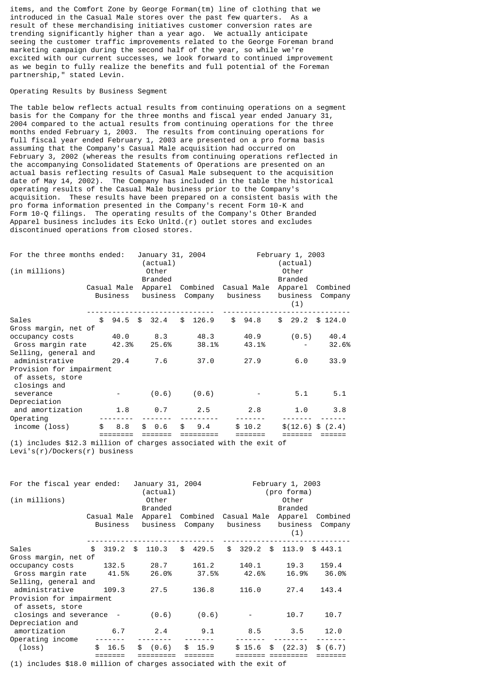items, and the Comfort Zone by George Forman(tm) line of clothing that we introduced in the Casual Male stores over the past few quarters. As a result of these merchandising initiatives customer conversion rates are trending significantly higher than a year ago. We actually anticipate seeing the customer traffic improvements related to the George Foreman brand marketing campaign during the second half of the year, so while we're excited with our current successes, we look forward to continued improvement as we begin to fully realize the benefits and full potential of the Foreman partnership," stated Levin.

## Operating Results by Business Segment

The table below reflects actual results from continuing operations on a segment basis for the Company for the three months and fiscal year ended January 31, 2004 compared to the actual results from continuing operations for the three months ended February 1, 2003. The results from continuing operations for full fiscal year ended February 1, 2003 are presented on a pro forma basis assuming that the Company's Casual Male acquisition had occurred on February 3, 2002 (whereas the results from continuing operations reflected in the accompanying Consolidated Statements of Operations are presented on an actual basis reflecting results of Casual Male subsequent to the acquisition date of May 14, 2002). The Company has included in the table the historical operating results of the Casual Male business prior to the Company's acquisition. These results have been prepared on a consistent basis with the pro forma information presented in the Company's recent Form 10-K and Form 10-Q filings. The operating results of the Company's Other Branded Apparel business includes its Ecko Unltd.(r) outlet stores and excludes discontinued operations from closed stores.

| For the three months ended:<br>(in millions)                 |  |       | January 31, 2004<br>(actual)<br>Other |              |  | February 1, 2003<br>(actual)<br>Other |  |                                                           |  |                     |             |       |
|--------------------------------------------------------------|--|-------|---------------------------------------|--------------|--|---------------------------------------|--|-----------------------------------------------------------|--|---------------------|-------------|-------|
|                                                              |  |       |                                       | Branded      |  |                                       |  |                                                           |  | Branded             |             |       |
|                                                              |  |       |                                       |              |  |                                       |  | Casual Male Apparel Combined Casual Male Apparel Combined |  |                     |             |       |
|                                                              |  |       |                                       |              |  |                                       |  | Business business Company business business               |  | (1)                 | Company     |       |
| Sales                                                        |  |       |                                       |              |  |                                       |  | \$ 94.5 \$ 32.4 \$ 126.9 \$ 94.8                          |  | \$29.2\$3124.0      |             |       |
| Gross margin, net of                                         |  |       |                                       |              |  |                                       |  |                                                           |  |                     |             |       |
| occupancy costs                                              |  |       |                                       | 40.0 8.3     |  | 48.3                                  |  | 40.9                                                      |  | (0.5)               | 40.4        |       |
| Gross margin rate                                            |  |       |                                       | 42.3%  25.6% |  | 38.1%                                 |  | 43.1%                                                     |  |                     |             | 32.6% |
| Selling, general and                                         |  |       |                                       |              |  |                                       |  |                                                           |  |                     |             |       |
| administrative                                               |  |       |                                       |              |  | 29.4 7.6 37.0                         |  | 27.9                                                      |  | 6.0                 | 33.9        |       |
| Provision for impairment<br>of assets, store<br>closings and |  |       |                                       |              |  |                                       |  |                                                           |  |                     |             |       |
| severance                                                    |  |       |                                       | (0.6)        |  | (0.6)                                 |  |                                                           |  | 5.1                 |             | 5.1   |
| Depreciation                                                 |  |       |                                       |              |  |                                       |  |                                                           |  |                     |             |       |
| and amortization                                             |  | 1.8   |                                       |              |  | $0.7$ 2.5                             |  | 2.8                                                       |  |                     | $1.0$ $3.8$ |       |
| Operating                                                    |  |       |                                       |              |  |                                       |  |                                                           |  |                     |             |       |
| income (loss)                                                |  | \$8.8 |                                       | \$0.6        |  | \$9.4                                 |  | \$10.2                                                    |  | $\$(12.6) \$ (2.4)$ |             |       |

(1) includes \$12.3 million of charges associated with the exit of Levi's(r)/Dockers(r) business

| For the fiscal year ended:<br>(in millions)                          |                         | January 31, 2004<br>(actual)<br>Other<br><b>Branded</b> |                     |                         | February 1, 2003<br>(pro forma)<br>Other<br><b>Branded</b> |                     |
|----------------------------------------------------------------------|-------------------------|---------------------------------------------------------|---------------------|-------------------------|------------------------------------------------------------|---------------------|
|                                                                      | Casual Male<br>Business | Apparel<br>business                                     | Combined<br>Company | Casual Male<br>business | Apparel<br>business<br>(1)                                 | Combined<br>Company |
| Sales<br>\$                                                          | 319.2                   | 110.3<br>\$                                             | \$429.5             | \$329.2\$               | 113.9                                                      | \$443.1             |
| Gross margin, net of                                                 |                         |                                                         |                     |                         |                                                            |                     |
| occupancy costs                                                      | 132.5                   | 28.7                                                    | 161.2               | 140.1                   | 19.3                                                       | 159.4               |
| Gross margin rate                                                    | 41.5%                   | 26.0%                                                   | 37.5%               | 42.6%                   | 16.9%                                                      | 36.0%               |
| Selling, general and                                                 |                         |                                                         |                     |                         |                                                            |                     |
| administrative                                                       | 109.3                   | 27.5                                                    | 136.8               | 116.0                   | 27.4                                                       | 143.4               |
| Provision for impairment<br>of assets, store                         |                         |                                                         |                     |                         |                                                            |                     |
| closings and severance -                                             |                         | (0.6)                                                   | (0.6)               |                         | 10.7                                                       | 10.7                |
| Depreciation and                                                     |                         |                                                         |                     |                         |                                                            |                     |
| amortization                                                         | 6.7                     | 2.4                                                     | 9.1                 | 8.5                     | 3.5                                                        | 12.0                |
| Operating income                                                     |                         |                                                         |                     |                         |                                                            |                     |
| $(\texttt{loss})$                                                    | \$16.5                  | (0.6)<br>\$                                             | \$15.9              | $$15.6$$ \$ (22.3)      |                                                            | \$ (6.7)            |
| $(1)$ includes \$10 0 million of charges associated with the exit of |                         |                                                         |                     |                         |                                                            |                     |

(1) includes \$18.0 million of charges associated with the exit of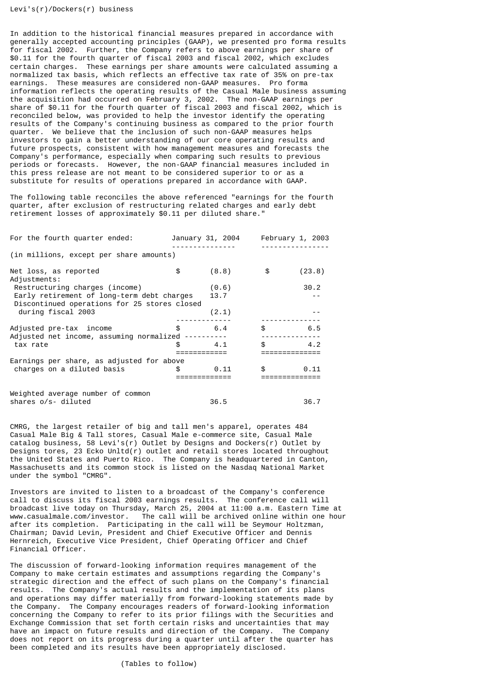Levi's(r)/Dockers(r) business

In addition to the historical financial measures prepared in accordance with generally accepted accounting principles (GAAP), we presented pro forma results for fiscal 2002. Further, the Company refers to above earnings per share of \$0.11 for the fourth quarter of fiscal 2003 and fiscal 2002, which excludes certain charges. These earnings per share amounts were calculated assuming a normalized tax basis, which reflects an effective tax rate of 35% on pre-tax earnings. These measures are considered non-GAAP measures. Pro forma information reflects the operating results of the Casual Male business assuming the acquisition had occurred on February 3, 2002. The non-GAAP earnings per share of \$0.11 for the fourth quarter of fiscal 2003 and fiscal 2002, which is reconciled below, was provided to help the investor identify the operating results of the Company's continuing business as compared to the prior fourth quarter. We believe that the inclusion of such non-GAAP measures helps investors to gain a better understanding of our core operating results and future prospects, consistent with how management measures and forecasts the Company's performance, especially when comparing such results to previous periods or forecasts. However, the non-GAAP financial measures included in this press release are not meant to be considered superior to or as a substitute for results of operations prepared in accordance with GAAP.

The following table reconciles the above referenced "earnings for the fourth quarter, after exclusion of restructuring related charges and early debt retirement losses of approximately \$0.11 per diluted share."

| For the fourth quarter ended:                                                              |              | January 31, 2004 |                               | February 1, 2003 |
|--------------------------------------------------------------------------------------------|--------------|------------------|-------------------------------|------------------|
| (in millions, except per share amounts)                                                    |              |                  |                               |                  |
| Net loss, as reported<br>Adjustments:                                                      | \$           | (8.8)            | \$                            | (23.8)           |
| Restructuring charges (income)                                                             |              | (0.6)            |                               | 30.2             |
| Early retirement of long-term debt charges<br>Discontinued operations for 25 stores closed |              | 13.7             |                               |                  |
| during fiscal 2003                                                                         |              | (2.1)            |                               |                  |
| Adjusted pre-tax income<br>Adjusted net income, assuming normalized ----------             | \$.          | 6.4              | $\mathbb{S}$                  | 6.5              |
| tax rate                                                                                   | £.           | 4.1              | $\mathbb{S}$ and $\mathbb{S}$ | 4.2              |
|                                                                                            |              |                  |                               | :=============   |
| Earnings per share, as adjusted for above                                                  |              |                  |                               |                  |
| charges on a diluted basis                                                                 | $\mathbb{S}$ | 0.11             | $\mathbb{S}$                  | 0.11             |
|                                                                                            |              |                  |                               |                  |
| Weighted average number of common                                                          |              |                  |                               |                  |
| shares o/s- diluted                                                                        |              | 36.5             |                               | 36.7             |

CMRG, the largest retailer of big and tall men's apparel, operates 484 Casual Male Big & Tall stores, Casual Male e-commerce site, Casual Male catalog business, 58 Levi's(r) Outlet by Designs and Dockers(r) Outlet by Designs tores, 23 Ecko Unltd(r) outlet and retail stores located throughout the United States and Puerto Rico. The Company is headquartered in Canton, Massachusetts and its common stock is listed on the Nasdaq National Market under the symbol "CMRG".

Investors are invited to listen to a broadcast of the Company's conference call to discuss its fiscal 2003 earnings results. The conference call will broadcast live today on Thursday, March 25, 2004 at 11:00 a.m. Eastern Time at www.casualmale.com/investor. The call will be archived online within one hour after its completion. Participating in the call will be Seymour Holtzman, Chairman; David Levin, President and Chief Executive Officer and Dennis Hernreich, Executive Vice President, Chief Operating Officer and Chief Financial Officer.

The discussion of forward-looking information requires management of the Company to make certain estimates and assumptions regarding the Company's strategic direction and the effect of such plans on the Company's financial results. The Company's actual results and the implementation of its plans and operations may differ materially from forward-looking statements made by the Company. The Company encourages readers of forward-looking information concerning the Company to refer to its prior filings with the Securities and Exchange Commission that set forth certain risks and uncertainties that may have an impact on future results and direction of the Company. The Company does not report on its progress during a quarter until after the quarter has been completed and its results have been appropriately disclosed.

(Tables to follow)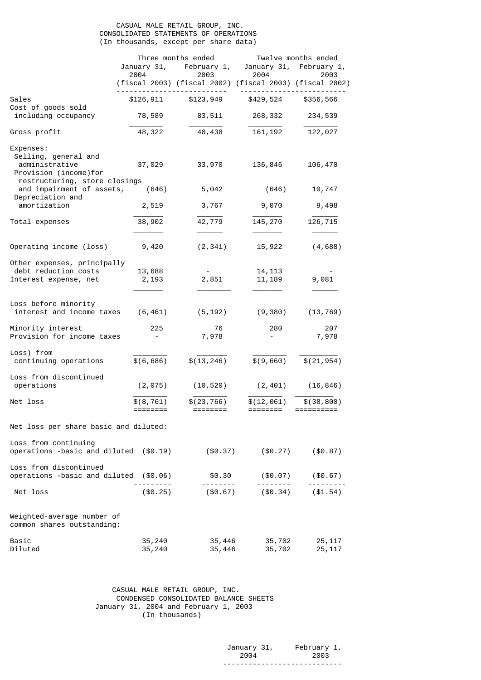## CASUAL MALE RETAIL GROUP, INC. CONSOLIDATED STATEMENTS OF OPERATIONS (In thousands, except per share data)

|                                                                                | Three months ended     |                            | Twelve months ended                                             |                         |  |  |
|--------------------------------------------------------------------------------|------------------------|----------------------------|-----------------------------------------------------------------|-------------------------|--|--|
|                                                                                |                        | January 31, February 1,    |                                                                 | January 31, February 1, |  |  |
|                                                                                | 2004                   | 2003                       | 2004<br>(fiscal 2003) (fiscal 2002) (fiscal 2003) (fiscal 2002) | 2003                    |  |  |
| Sales<br>Cost of goods sold                                                    | \$126,911              | \$123,949                  | \$429,524                                                       | \$356,566               |  |  |
| including occupancy                                                            | 78,589                 | 83,511                     | 268,332                                                         | 234,539                 |  |  |
| Gross profit                                                                   | 48,322                 | 40,438                     | 161, 192                                                        | 122,027                 |  |  |
| Expenses:<br>Selling, general and<br>administrative<br>Provision (income) for  | 37,029                 | 33,970                     | 136,846                                                         | 106,470                 |  |  |
| restructuring, store closings<br>and impairment of assets,<br>Depreciation and | (646)                  | 5,042                      | (646)                                                           | 10,747                  |  |  |
| amortization                                                                   | 2,519                  | 3,767                      | 9,070                                                           | 9,498                   |  |  |
| Total expenses                                                                 | 38,902                 | 42,779                     | 145,270                                                         | 126,715                 |  |  |
| Operating income (loss)                                                        | 9,420                  | (2, 341)                   | 15,922                                                          | (4, 688)                |  |  |
| Other expenses, principally<br>debt reduction costs<br>Interest expense, net   | 13,688<br>2,193        | $\sim 100$<br>2,851        | 14, 113<br>11, 189                                              | 9,081                   |  |  |
| Loss before minority<br>interest and income taxes                              | (6, 461)               | (5, 192)                   | (9,380)                                                         | (13, 769)               |  |  |
| Minority interest<br>Provision for income taxes                                | 225                    | 76<br>7,978                | 280                                                             | 207<br>7,978            |  |  |
| Loss) from<br>continuing operations                                            | \$(6, 686)             | \$(13, 246)                | \$(9,660)                                                       | \$(21, 954)             |  |  |
| Loss from discontinued<br>operations                                           | (2, 075)               | (10, 520)                  | (2, 401)                                                        | (16, 846)               |  |  |
| Net loss                                                                       | \$(8, 761)<br>======== | \$(23, 766)<br>$=$ ======= | \$(12,061)<br>========                                          | \$(38, 800)             |  |  |
| Net loss per share basic and diluted:                                          |                        |                            |                                                                 |                         |  |  |
| Loss from continuing<br>operations -basic and diluted (\$0.19)                 |                        | $(\$0.37)$                 | $(\$0.27)$                                                      | $(\$0.87)$              |  |  |
| Loss from discontinued<br>operations -basic and diluted                        | ( \$0.06)              | \$0.30                     | ( \$0.07)                                                       | (\$0.67)                |  |  |
| Net loss                                                                       | $(\$0.25)$             | $(\$0.67)$                 | $(\$0.34)$                                                      | ( \$1.54)               |  |  |
| Weighted-average number of<br>common shares outstanding:                       |                        |                            |                                                                 |                         |  |  |
| Basic<br>Diluted                                                               | 35,240<br>35,240       | 35,446<br>35,446           | 35,702<br>35,702                                                | 25, 117<br>25, 117      |  |  |

 CASUAL MALE RETAIL GROUP, INC. CONDENSED CONSOLIDATED BALANCE SHEETS January 31, 2004 and February 1, 2003 (In thousands)

| January 31, | February 1,                |
|-------------|----------------------------|
| 2004        | 2003                       |
|             | - - -<br>----------------- |